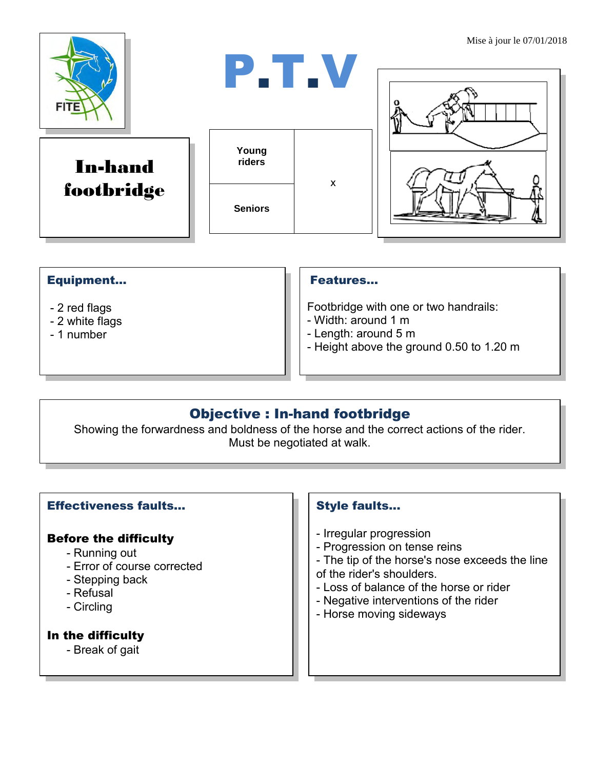

### Equipment...

- 2 red flags
- 2 white flags
- 1 number

#### Features…

Footbridge with one or two handrails:

- Width: around 1 m
- Length: around 5 m
- Height above the ground 0.50 to 1.20 m

# Objective : In-hand footbridge

Showing the forwardness and boldness of the horse and the correct actions of the rider. Must be negotiated at walk.

#### Effectiveness faults…

#### Before the difficulty

- Running out
- Error of course corrected
- Stepping back
- Refusal
- Circling

#### In the difficulty

- Break of gait

## Style faults...

- Irregular progression
- Progression on tense reins
- The tip of the horse's nose exceeds the line
- of the rider's shoulders.
- Loss of balance of the horse or rider
- Negative interventions of the rider
- Horse moving sideways